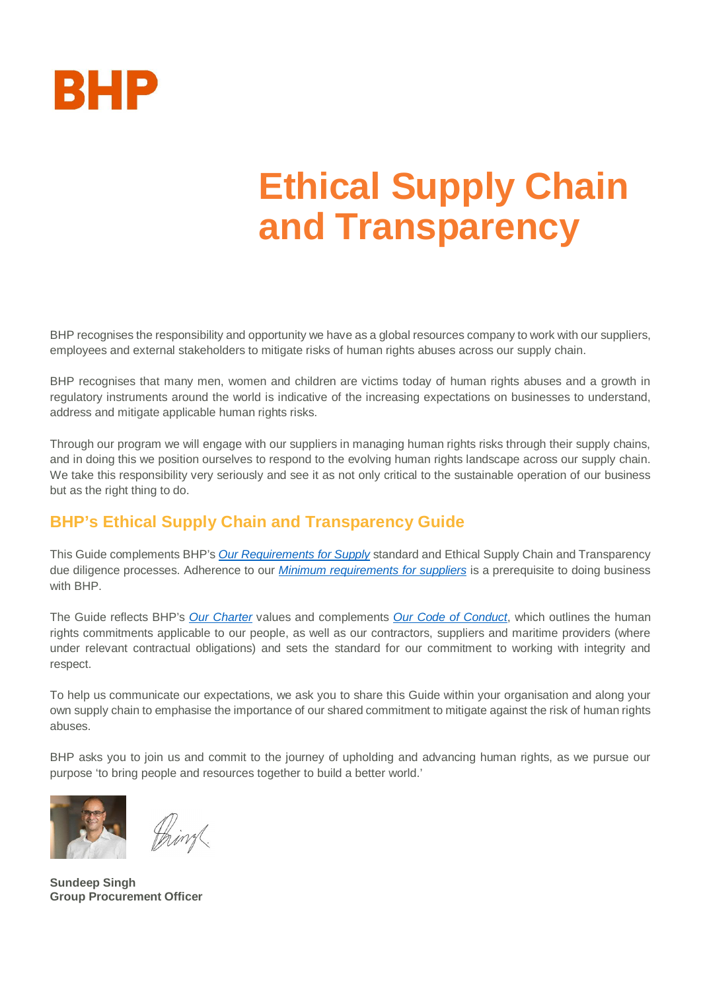

# **Ethical Supply Chain and Transparency**

BHP recognises the responsibility and opportunity we have as a global resources company to work with our suppliers, employees and external stakeholders to mitigate risks of human rights abuses across our supply chain.

BHP recognises that many men, women and children are victims today of human rights abuses and a growth in regulatory instruments around the world is indicative of the increasing expectations on businesses to understand, address and mitigate applicable human rights risks.

Through our program we will engage with our suppliers in managing human rights risks through their supply chains, and in doing this we position ourselves to respond to the evolving human rights landscape across our supply chain. We take this responsibility very seriously and see it as not only critical to the sustainable operation of our business but as the right thing to do.

## **BHP's Ethical Supply Chain and Transparency Guide**

This Guide complements BHP's *[Our Requirements for Supply](https://www.bhp.com/-/media/documents/ourapproach/governance/190429_ourrequirementsforsupply.pdf?la=en)* standard and Ethical Supply Chain and Transparency due diligence processes. Adherence to our *[Minimum requirements for suppliers](https://www.bhp.com/-/media/documents/suppliers/200304_minimum%20requirements%20for%20suppliers.pdf)* is a prerequisite to doing business with BHP.

The Guide reflects BHP's *[Our Charter](https://www.bhp.com/our-approach/our-purpose/)* values and complements *[Our Code of Conduct](https://www.bhp.com/our-approach/our-company/our-code-of-conduct)*, which outlines the human rights commitments applicable to our people, as well as our contractors, suppliers and maritime providers (where under relevant contractual obligations) and sets the standard for our commitment to working with integrity and respect.

To help us communicate our expectations, we ask you to share this Guide within your organisation and along your own supply chain to emphasise the importance of our shared commitment to mitigate against the risk of human rights abuses.

BHP asks you to join us and commit to the journey of upholding and advancing human rights, as we pursue our purpose 'to bring people and resources together to build a better world.'





**Sundeep Singh Group Procurement Officer**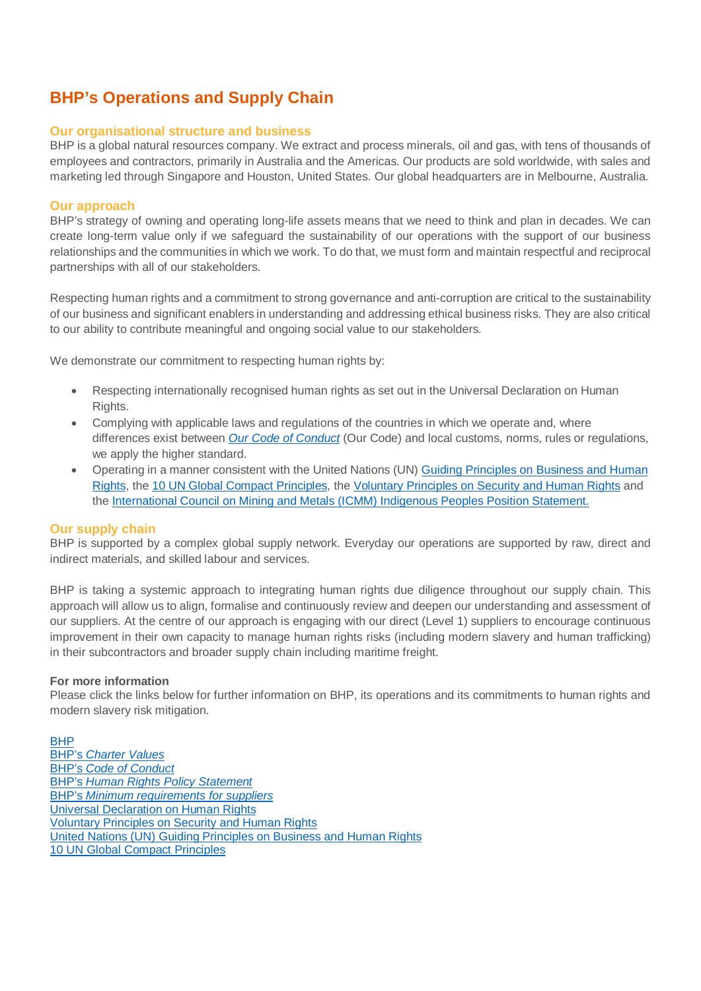## **BHP's Operations and Supply Chain**

## **Our organisational structure and business**

BHP is a global natural resources company. We extract and process minerals, oil and gas, with tens of thousands of employees and contractors, primarily in Australia and the Americas. Our products are sold worldwide, with sales and marketing led through Singapore and Houston, United States. Our global headquarters are in Melbourne, Australia.

## **Our approach**

BHP's strategy of owning and operating long-life assets means that we need to think and plan in decades. We can create long-term value only if we safeguard the sustainability of our operations with the support of our business relationships and the communities in which we work. To do that, we must form and maintain respectful and reciprocal partnerships with all of our stakeholders.

Respecting human rights and a commitment to strong governance and anti-corruption are critical to the sustainability of our business and significant enablers in understanding and addressing ethical business risks. They are also critical to our ability to contribute meaningful and ongoing social value to our stakeholders.

We demonstrate our commitment to respecting human rights by:

- · Respecting internationally recognised human rights as set out in the Universal Declaration on Human Rights.
- Complying with applicable laws and regulations of the countries in which we operate and, where differences exist between *[Our Code of Conduct](https://www.bhp.com/our-approach/our-company/our-code-of-conduct)* (Our Code) and local customs, norms, rules or regulations, we apply the higher standard.
- · Operating in a manner consistent with the United Nations (UN) [Guiding Principles on Business and Human](https://www.ohchr.org/documents/publications/guidingprinciplesbusinesshr_en.pdf) [Rights,](https://www.ohchr.org/documents/publications/guidingprinciplesbusinesshr_en.pdf) the [10 UN Global Compact Principles,](https://www.unglobalcompact.org/what-is-gc/mission/principles) the [Voluntary Principles on Security and Human Rights](https://www.voluntaryprinciples.org/) and the [International Council on Mining and Metals \(ICMM\) Indigenous Peoples Position Statement.](https://www.icmm.com/en-gb/members/member-commitments/position-statements/indigenous-peoples-and-mining-position-statement)

## **Our supply chain**

BHP is supported by a complex global supply network. Everyday our operations are supported by raw, direct and indirect materials, and skilled labour and services.

BHP is taking a systemic approach to integrating human rights due diligence throughout our supply chain. This approach will allow us to align, formalise and continuously review and deepen our understanding and assessment of our suppliers. At the centre of our approach is engaging with our direct (Level 1) suppliers to encourage continuous improvement in their own capacity to manage human rights risks (including modern slavery and human trafficking) in their subcontractors and broader supply chain including maritime freight.

## **For more information**

Please click the links below for further information on BHP, its operations and its commitments to human rights and modern slavery risk mitigation.

[BHP](https://www.bhp.com/) BHP's *[Charter Values](https://www.bhp.com/our-approach/our-purpose/)* BHP's *[Code of Conduct](https://www.bhp.com/our-approach/our-company/our-code-of-conduct)* BHP's *[Human Rights Policy Statement](https://www.bhp.com/our-approach/operating-with-integrity/respecting-human-rights)* BHP's *[Minimum requirements for suppliers](https://www.bhp.com/-/media/documents/suppliers/200304_minimum%20requirements%20for%20suppliers.pdf)* [Universal Declaration on Human Rights](https://www.un.org/en/universal-declaration-human-rights/) [Voluntary Principles on Security and Human Rights](https://www.voluntaryprinciples.org/) [United Nations \(UN\) Guiding Principles on Business and Human Rights](https://www.ohchr.org/Documents/Publications/GuidingPrinciplesBusinessHR_EN.pdf) [10 UN Global Compact Principles](https://www.unglobalcompact.org/what-is-gc/mission/principles)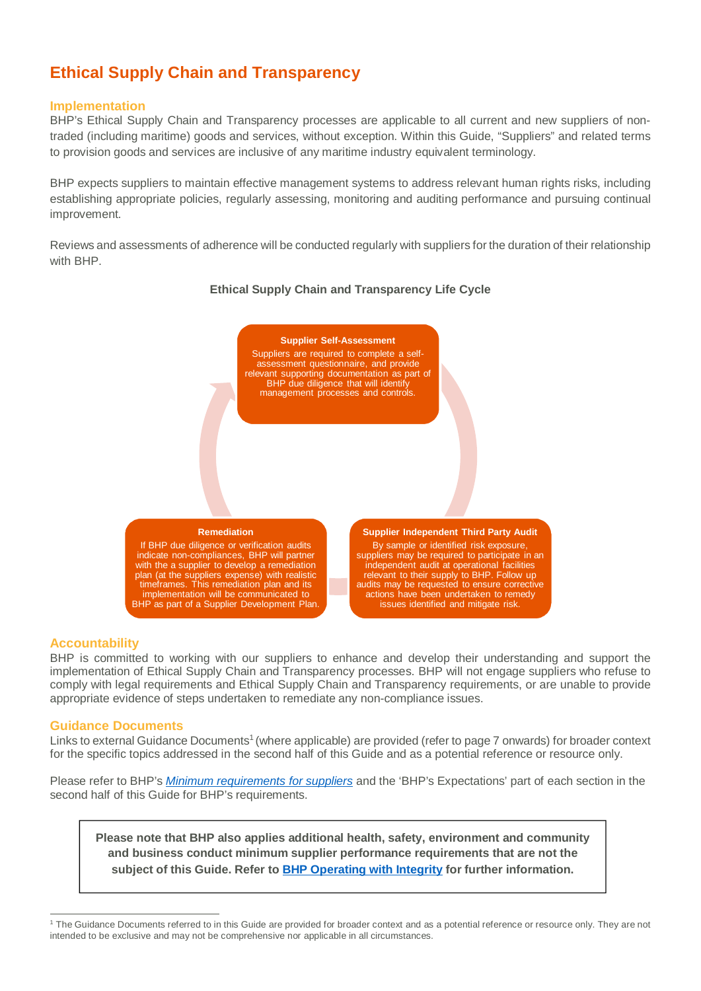# **Ethical Supply Chain and Transparency**

## **Implementation**

BHP's Ethical Supply Chain and Transparency processes are applicable to all current and new suppliers of nontraded (including maritime) goods and services, without exception. Within this Guide, "Suppliers" and related terms to provision goods and services are inclusive of any maritime industry equivalent terminology.

BHP expects suppliers to maintain effective management systems to address relevant human rights risks, including establishing appropriate policies, regularly assessing, monitoring and auditing performance and pursuing continual improvement.

Reviews and assessments of adherence will be conducted regularly with suppliers for the duration of their relationship with BHP.



## **Ethical Supply Chain and Transparency Life Cycle**

### **Accountability**

BHP is committed to working with our suppliers to enhance and develop their understanding and support the implementation of Ethical Supply Chain and Transparency processes. BHP will not engage suppliers who refuse to comply with legal requirements and Ethical Supply Chain and Transparency requirements, or are unable to provide appropriate evidence of steps undertaken to remediate any non-compliance issues.

### **Guidance Documents**

Links to external Guidance Documents<sup>[1](#page-2-0)</sup> (where applicable) are provided (refer to page 7 onwards) for broader context for the specific topics addressed in the second half of this Guide and as a potential reference or resource only.

Please refer to BHP's *[Minimum requirements for suppliers](https://www.bhp.com/-/media/documents/suppliers/200304_minimum%20requirements%20for%20suppliers.pdf)* and the 'BHP's Expectations' part of each section in the second half of this Guide for BHP's requirements.

**Please note that BHP also applies additional health, safety, environment and community and business conduct minimum supplier performance requirements that are not the subject of this Guide. Refer to [BHP Operating with Integrity](https://www.bhp.com/our-approach/operating-with-integrity/) for further information.**

<span id="page-2-0"></span><sup>&</sup>lt;sup>1</sup> The Guidance Documents referred to in this Guide are provided for broader context and as a potential reference or resource only. They are not intended to be exclusive and may not be comprehensive nor applicable in all circumstances.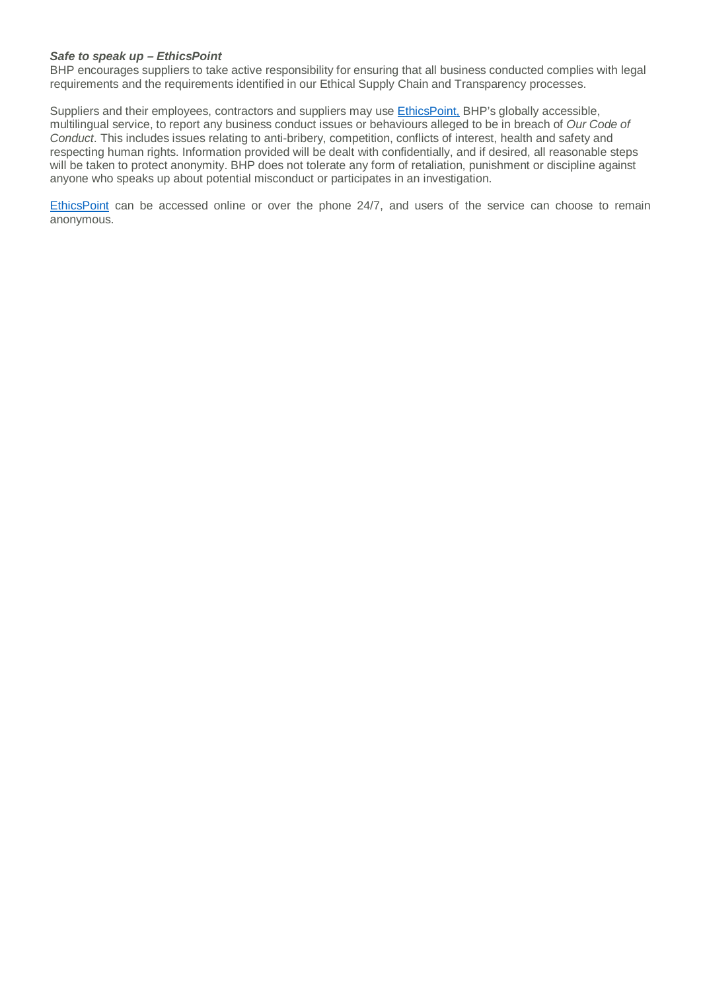### *Safe to speak up – EthicsPoint*

BHP encourages suppliers to take active responsibility for ensuring that all business conducted complies with legal requirements and the requirements identified in our Ethical Supply Chain and Transparency processes.

Suppliers and their employees, contractors and suppliers may use [EthicsPoint,](https://secure.ethicspoint.com/domain/media/en/gui/23435/index.html) BHP's globally accessible, multilingual service, to report any business conduct issues or behaviours alleged to be in breach of *Our Code of Conduct*. This includes issues relating to anti-bribery, competition, conflicts of interest, health and safety and respecting human rights. Information provided will be dealt with confidentially, and if desired, all reasonable steps will be taken to protect anonymity. BHP does not tolerate any form of retaliation, punishment or discipline against anyone who speaks up about potential misconduct or participates in an investigation.

[EthicsPoint](https://secure.ethicspoint.com/domain/media/en/gui/23435/index.html) can be accessed online or over the phone 24/7, and users of the service can choose to remain anonymous.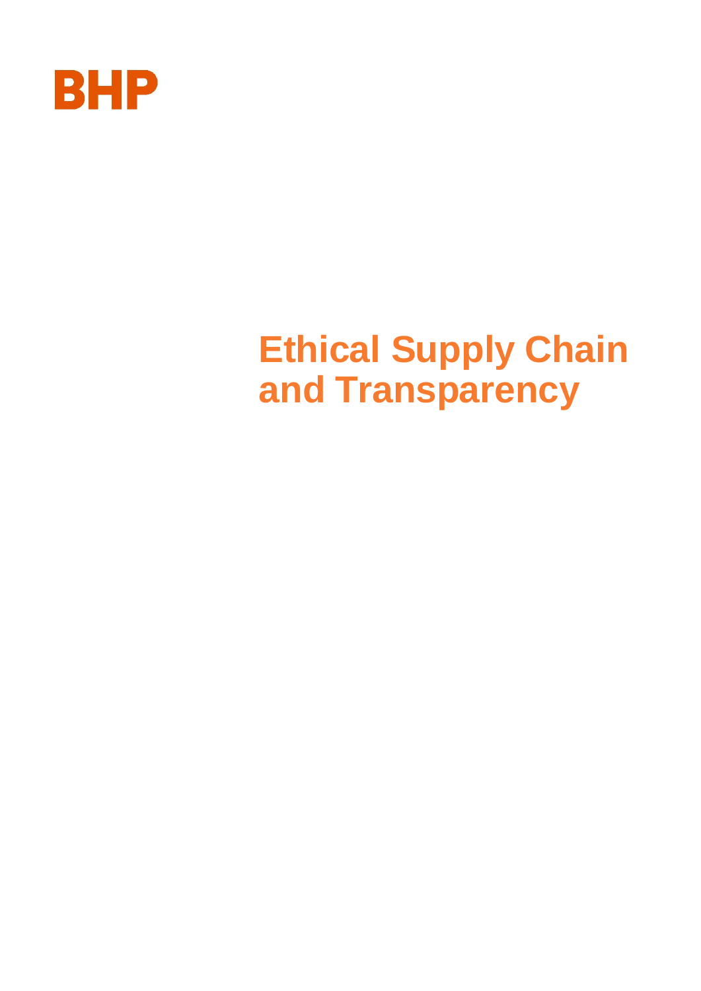

# **Ethical Supply Chain and Transparency**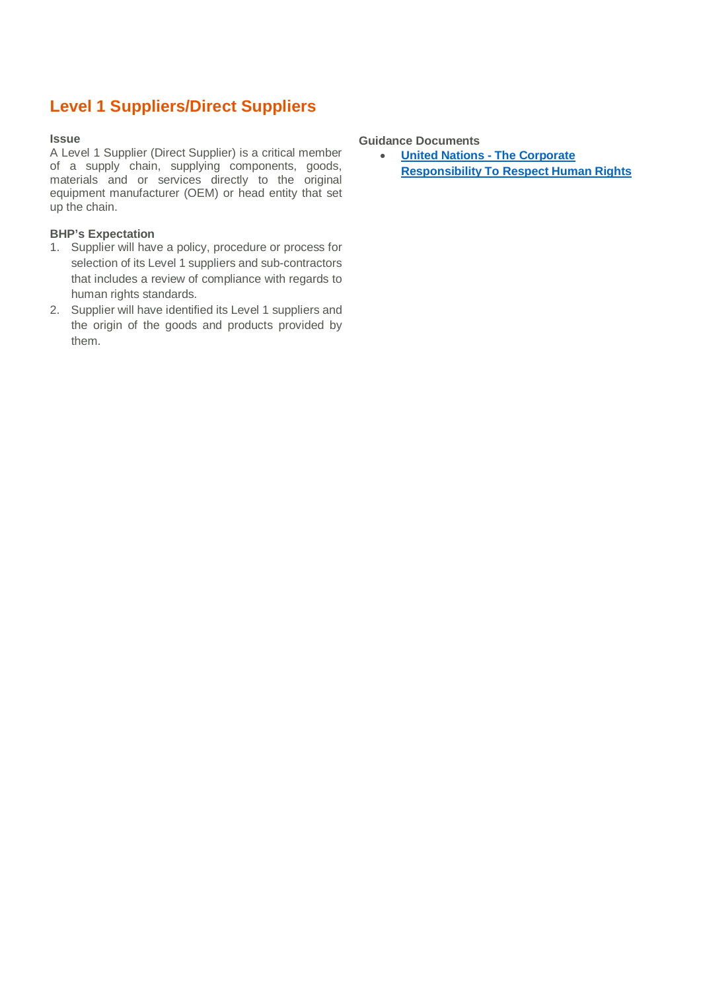# **Level 1 Suppliers/Direct Suppliers**

### **Issue**

A Level 1 Supplier (Direct Supplier) is a critical member of a supply chain, supplying components, goods, materials and or services directly to the original equipment manufacturer (OEM) or head entity that set up the chain.

## **BHP's Expectation**

- 1. Supplier will have a policy, procedure or process for selection of its Level 1 suppliers and sub-contractors that includes a review of compliance with regards to human rights standards.
- 2. Supplier will have identified its Level 1 suppliers and the origin of the goods and products provided by them.

## **Guidance Documents**

· **[United Nations - The Corporate](https://www.ohchr.org/Documents/Publications/HR.PUB.12.2_En.pdf) [Responsibility To Respect Human Rights](https://www.ohchr.org/Documents/Publications/HR.PUB.12.2_En.pdf)**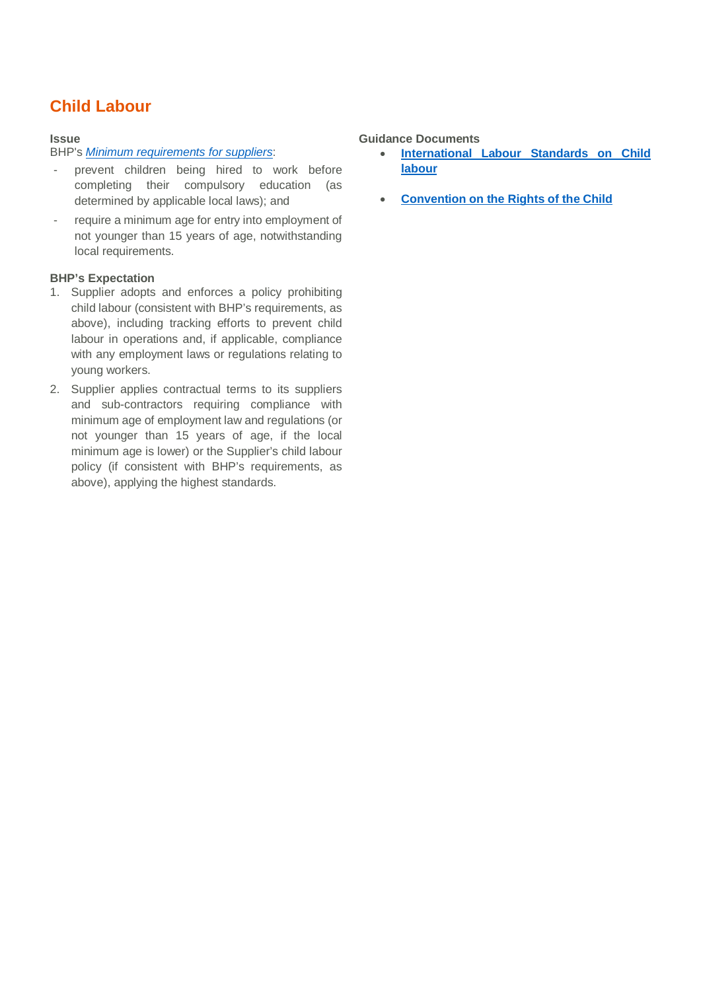# **Child Labour**

## **Issue**

## BHP's *[Minimum requirements for suppliers](https://www.bhp.com/-/media/documents/suppliers/200304_minimum%20requirements%20for%20suppliers.pdf)*:

- prevent children being hired to work before completing their compulsory education (as determined by applicable local laws); and
- require a minimum age for entry into employment of not younger than 15 years of age, notwithstanding local requirements.

## **BHP's Expectation**

- 1. Supplier adopts and enforces a policy prohibiting child labour (consistent with BHP's requirements, as above), including tracking efforts to prevent child labour in operations and, if applicable, compliance with any employment laws or regulations relating to young workers.
- 2. Supplier applies contractual terms to its suppliers and sub-contractors requiring compliance with minimum age of employment law and regulations (or not younger than 15 years of age, if the local minimum age is lower) or the Supplier's child labour policy (if consistent with BHP's requirements, as above), applying the highest standards.

## **Guidance Documents**

- **[International Labour Standards on Child](https://www.ilo.org/global/standards/subjects-covered-by-international-labour-standards/child-labour/lang--en/index.htm) [labour](https://www.ilo.org/global/standards/subjects-covered-by-international-labour-standards/child-labour/lang--en/index.htm)**
- **[Convention on the Rights of the Child](https://www.ohchr.org/en/professionalinterest/pages/crc.aspx)**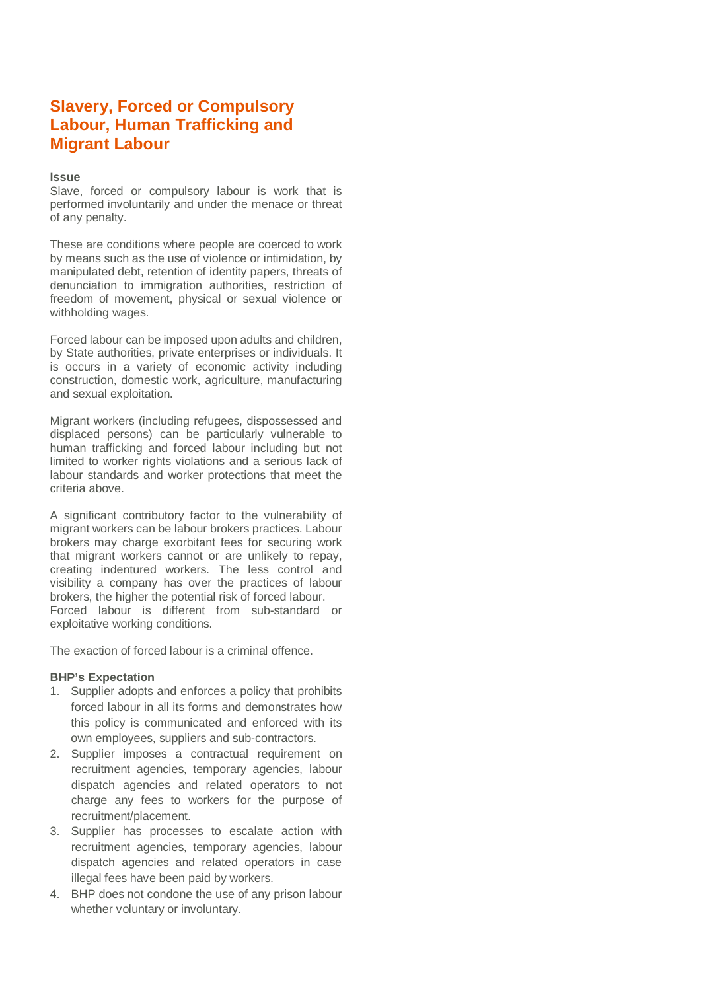## **Slavery, Forced or Compulsory Labour, Human Trafficking and Migrant Labour**

## **Issue**

Slave, forced or compulsory labour is work that is performed involuntarily and under the menace or threat of any penalty.

These are conditions where people are coerced to work by means such as the use of violence or intimidation, by manipulated debt, retention of identity papers, threats of denunciation to immigration authorities, restriction of freedom of movement, physical or sexual violence or withholding wages.

Forced labour can be imposed upon adults and children, by State authorities, private enterprises or individuals. It is occurs in a variety of economic activity including construction, domestic work, agriculture, manufacturing and sexual exploitation.

Migrant workers (including refugees, dispossessed and displaced persons) can be particularly vulnerable to human trafficking and forced labour including but not limited to worker rights violations and a serious lack of labour standards and worker protections that meet the criteria above.

A significant contributory factor to the vulnerability of migrant workers can be labour brokers practices. Labour brokers may charge exorbitant fees for securing work that migrant workers cannot or are unlikely to repay, creating indentured workers. The less control and visibility a company has over the practices of labour brokers, the higher the potential risk of forced labour. Forced labour is different from sub-standard or exploitative working conditions.

The exaction of forced labour is a criminal offence.

## **BHP's Expectation**

- 1. Supplier adopts and enforces a policy that prohibits forced labour in all its forms and demonstrates how this policy is communicated and enforced with its own employees, suppliers and sub-contractors.
- 2. Supplier imposes a contractual requirement on recruitment agencies, temporary agencies, labour dispatch agencies and related operators to not charge any fees to workers for the purpose of recruitment/placement.
- 3. Supplier has processes to escalate action with recruitment agencies, temporary agencies, labour dispatch agencies and related operators in case illegal fees have been paid by workers.
- 4. BHP does not condone the use of any prison labour whether voluntary or involuntary.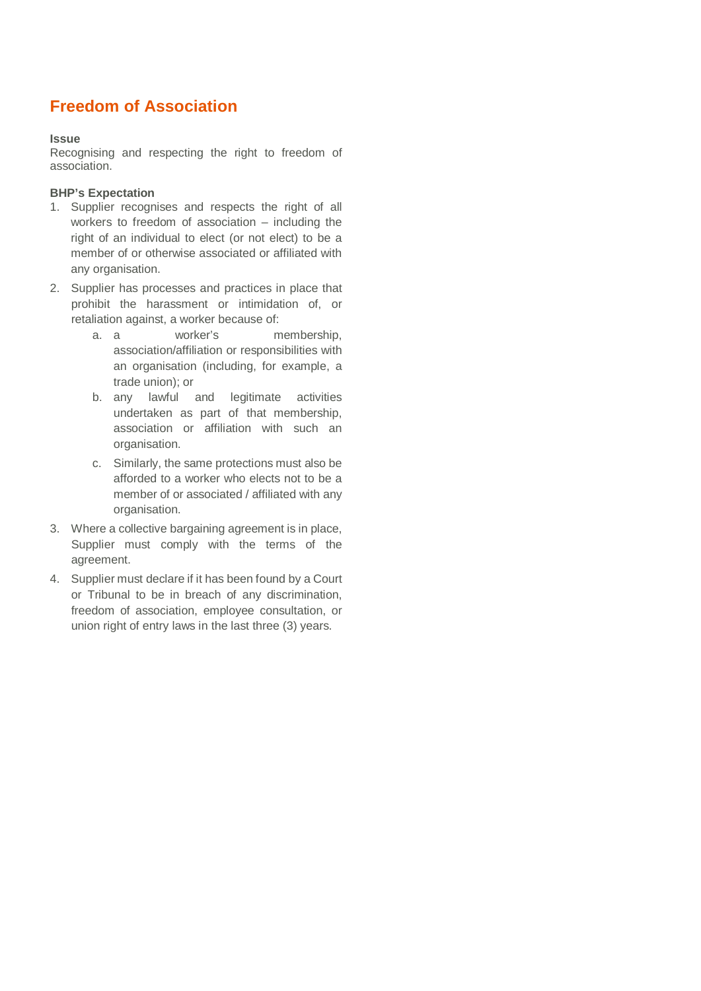# **Freedom of Association**

## **Issue**

Recognising and respecting the right to freedom of association.

## **BHP's Expectation**

- 1. Supplier recognises and respects the right of all workers to freedom of association – including the right of an individual to elect (or not elect) to be a member of or otherwise associated or affiliated with any organisation.
- 2. Supplier has processes and practices in place that prohibit the harassment or intimidation of, or retaliation against, a worker because of:
	- a. a worker's membership, association/affiliation or responsibilities with an organisation (including, for example, a trade union); or
	- b. any lawful and legitimate activities undertaken as part of that membership, association or affiliation with such an organisation.
	- c. Similarly, the same protections must also be afforded to a worker who elects not to be a member of or associated / affiliated with any organisation.
- 3. Where a collective bargaining agreement is in place, Supplier must comply with the terms of the agreement.
- 4. Supplier must declare if it has been found by a Court or Tribunal to be in breach of any discrimination, freedom of association, employee consultation, or union right of entry laws in the last three (3) years.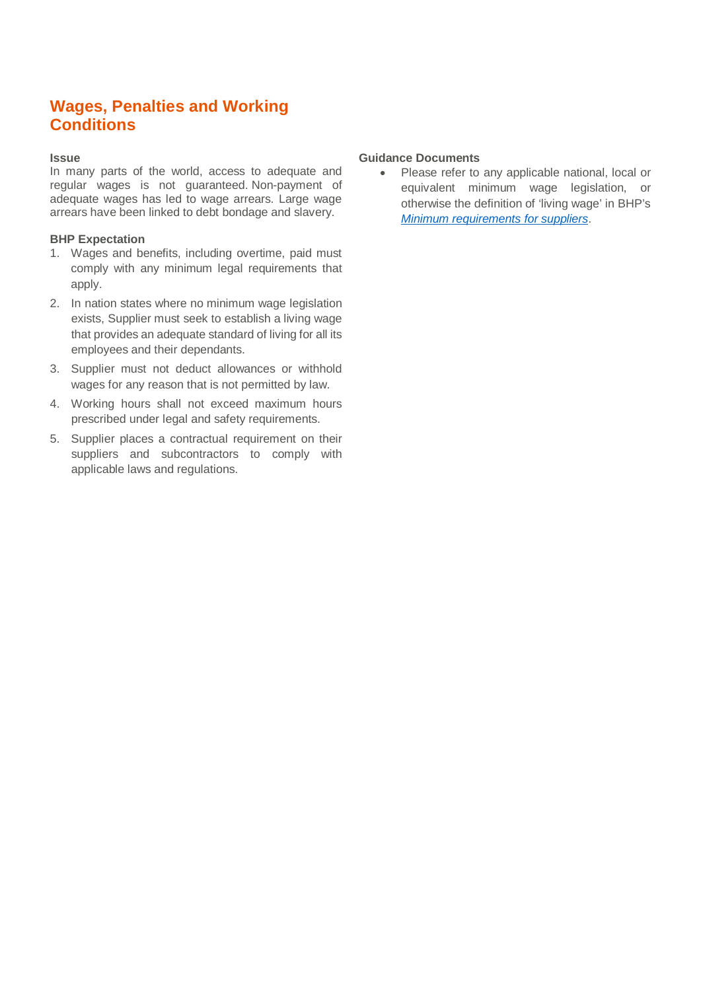## **Wages, Penalties and Working Conditions**

## **Issue**

In many parts of the world, access to adequate and regular wages is not guaranteed. Non-payment of adequate wages has led to wage arrears. Large wage arrears have been linked to debt bondage and slavery.

## **BHP Expectation**

- 1. Wages and benefits, including overtime, paid must comply with any minimum legal requirements that apply.
- 2. In nation states where no minimum wage legislation exists, Supplier must seek to establish a living wage that provides an adequate standard of living for all its employees and their dependants.
- 3. Supplier must not deduct allowances or withhold wages for any reason that is not permitted by law.
- 4. Working hours shall not exceed maximum hours prescribed under legal and safety requirements.
- 5. Supplier places a contractual requirement on their suppliers and subcontractors to comply with applicable laws and regulations.

## **Guidance Documents**

· Please refer to any applicable national, local or equivalent minimum wage legislation, or otherwise the definition of 'living wage' in BHP's *[Minimum requirements for suppliers](https://www.bhp.com/-/media/documents/suppliers/200304_minimum%20requirements%20for%20suppliers.pdf)*.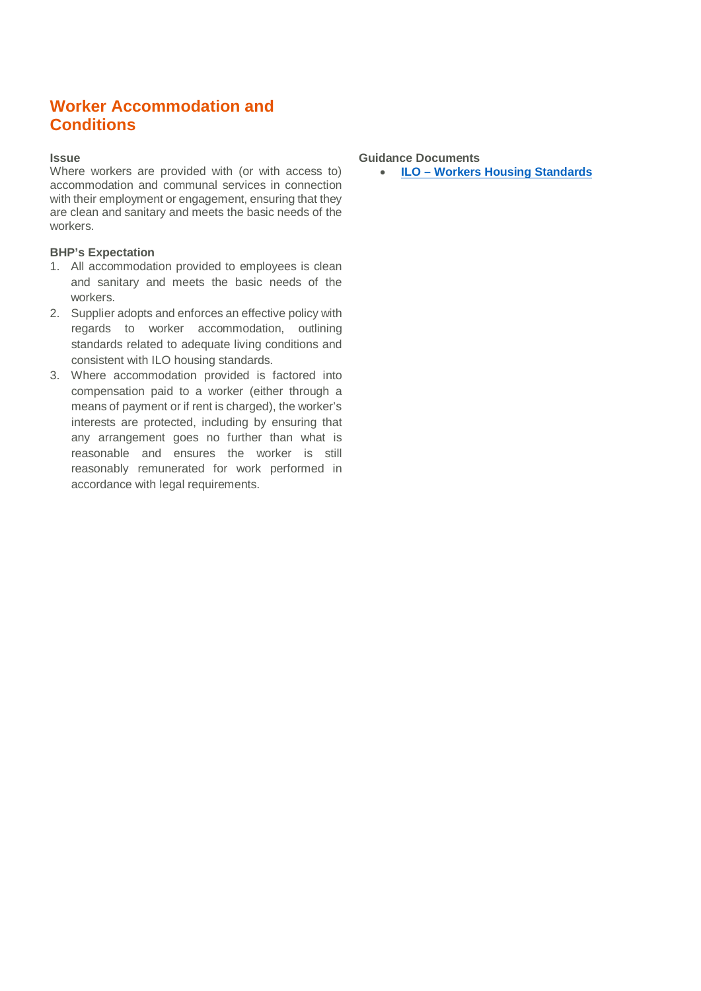## **Worker Accommodation and Conditions**

## **Issue**

Where workers are provided with (or with access to) accommodation and communal services in connection with their employment or engagement, ensuring that they are clean and sanitary and meets the basic needs of the workers.

## **BHP's Expectation**

- 1. All accommodation provided to employees is clean and sanitary and meets the basic needs of the workers.
- 2. Supplier adopts and enforces an effective policy with regards to worker accommodation, outlining standards related to adequate living conditions and consistent with ILO housing standards.
- 3. Where accommodation provided is factored into compensation paid to a worker (either through a means of payment or if rent is charged), the worker's interests are protected, including by ensuring that any arrangement goes no further than what is reasonable and ensures the worker is still reasonably remunerated for work performed in accordance with legal requirements.

## **Guidance Documents**

· **[ILO – Workers Housing Standards](https://www.ilo.org/wcmsp5/groups/public/---ed_emp/---emp_ent/---multi/documents/publication/wcms_116344.pdf)**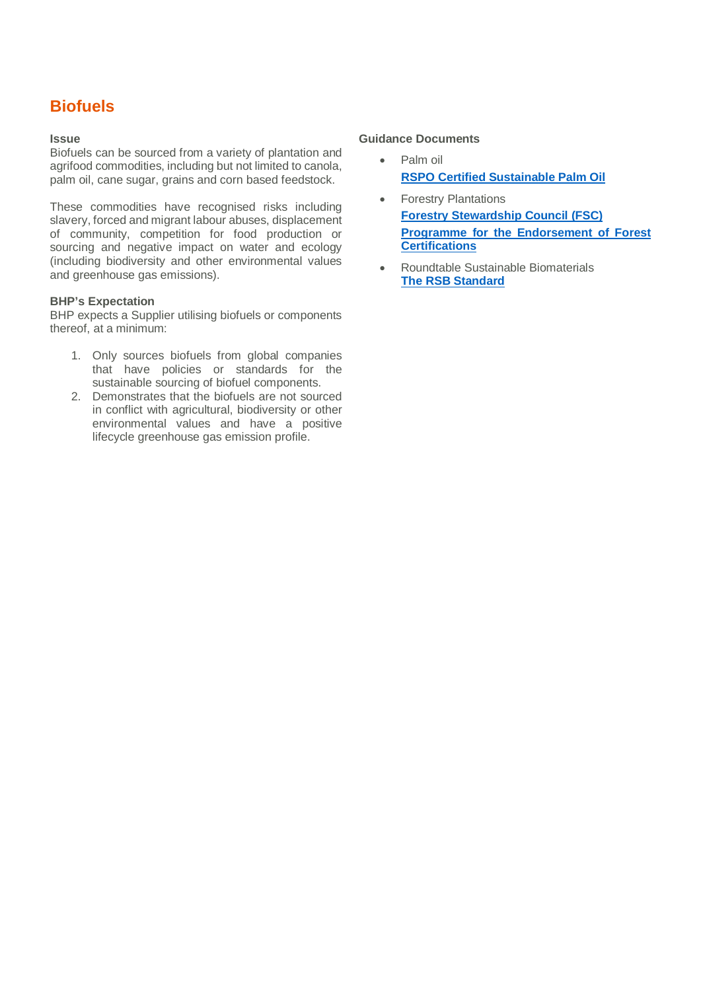# **Biofuels**

### **Issue**

Biofuels can be sourced from a variety of plantation and agrifood commodities, including but not limited to canola, palm oil, cane sugar, grains and corn based feedstock.

These commodities have recognised risks including slavery, forced and migrant labour abuses, displacement of community, competition for food production or sourcing and negative impact on water and ecology (including biodiversity and other environmental values and greenhouse gas emissions).

## **BHP's Expectation**

BHP expects a Supplier utilising biofuels or components thereof, at a minimum:

- 1. Only sources biofuels from global companies that have policies or standards for the sustainable sourcing of biofuel components.
- 2. Demonstrates that the biofuels are not sourced in conflict with agricultural, biodiversity or other environmental values and have a positive lifecycle greenhouse gas emission profile.

## **Guidance Documents**

- Palm oil **[RSPO Certified Sustainable Palm Oil](https://www.rspo.org/certification)**
- **Forestry Plantations [Forestry Stewardship Council \(FSC\)](https://us.fsc.org/en-us/certification) [Programme for the Endorsement of Forest](https://www.pefc.org/what-we-do) [Certifications](https://www.pefc.org/what-we-do)**
- · Roundtable Sustainable Biomaterials **[The RSB Standard](http://rsb.org/wp-content/uploads/2017/04/RSB-Guide-to-the-RSB-Standard.pdf)**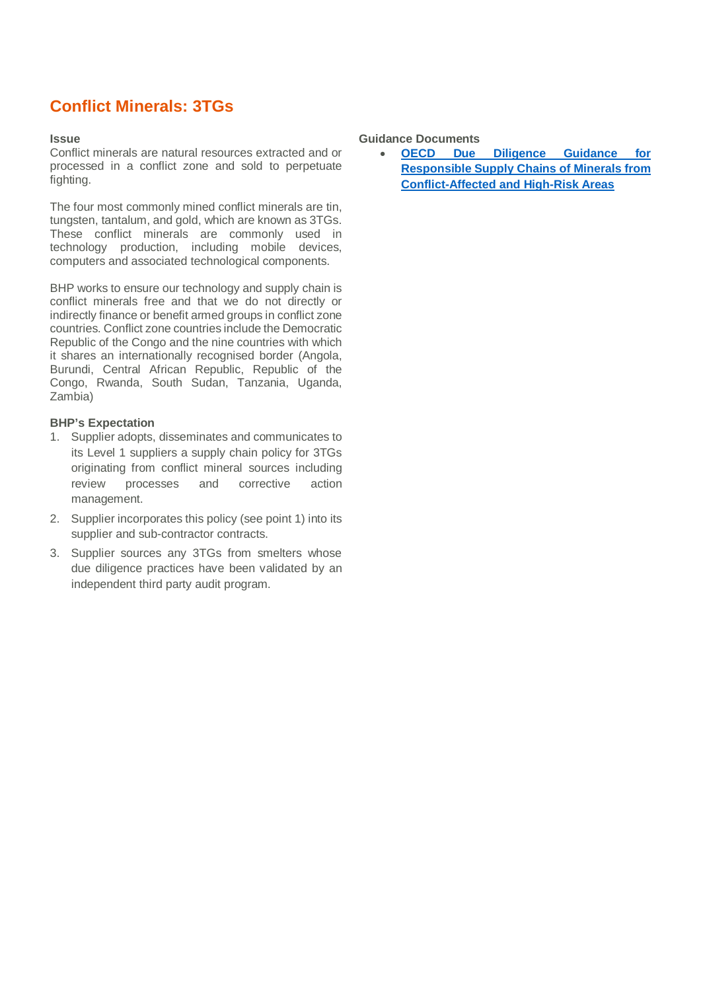# **Conflict Minerals: 3TGs**

#### **Issue**

Conflict minerals are natural resources extracted and or processed in a conflict zone and sold to perpetuate fighting.

The four most commonly mined conflict minerals are tin, tungsten, tantalum, and gold, which are known as 3TGs. These conflict minerals are commonly used in technology production, including mobile devices, computers and associated technological components.

BHP works to ensure our technology and supply chain is conflict minerals free and that we do not directly or indirectly finance or benefit armed groups in conflict zone countries. Conflict zone countries include the Democratic Republic of the Congo and the nine countries with which it shares an internationally recognised border (Angola, Burundi, Central African Republic, Republic of the Congo, Rwanda, South Sudan, Tanzania, Uganda, Zambia)

## **BHP's Expectation**

- 1. Supplier adopts, disseminates and communicates to its Level 1 suppliers a supply chain policy for 3TGs originating from conflict mineral sources including review processes and corrective action management.
- 2. Supplier incorporates this policy (see point 1) into its supplier and sub-contractor contracts.
- 3. Supplier sources any 3TGs from smelters whose due diligence practices have been validated by an independent third party audit program.

## **Guidance Documents**

· **[OECD Due Diligence Guidance for](http://www.oecd.org/daf/inv/mne/mining.htm) [Responsible Supply Chains of Minerals from](http://www.oecd.org/daf/inv/mne/mining.htm) [Conflict-Affected and High-Risk Areas](http://www.oecd.org/daf/inv/mne/mining.htm)**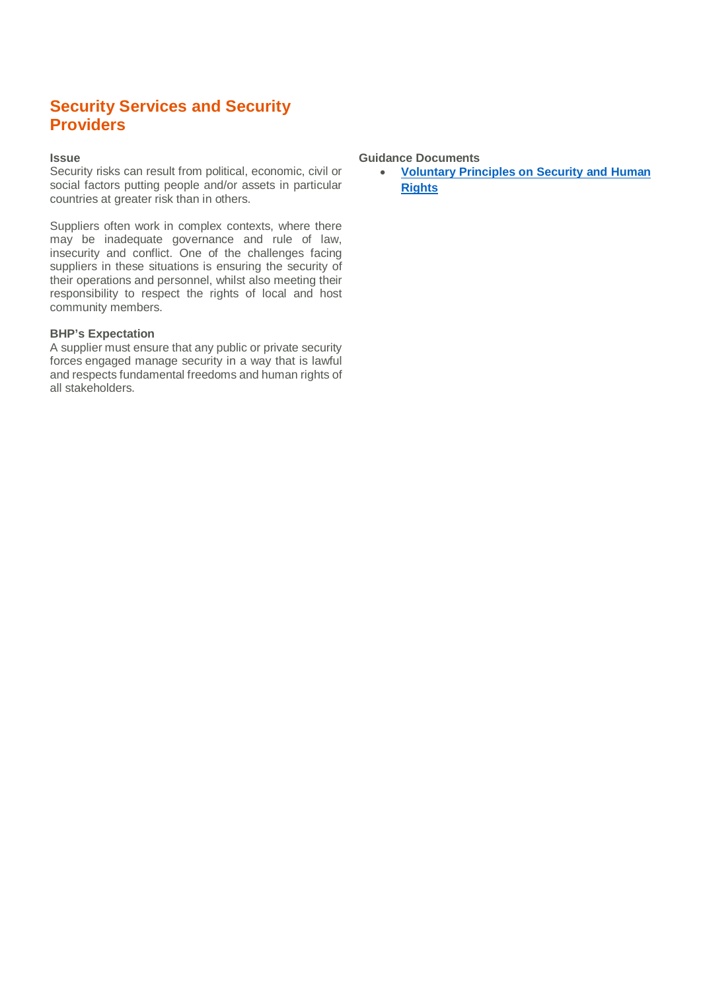## **Security Services and Security Providers**

## **Issue**

Security risks can result from political, economic, civil or social factors putting people and/or assets in particular countries at greater risk than in others.

Suppliers often work in complex contexts, where there may be inadequate governance and rule of law, insecurity and conflict. One of the challenges facing suppliers in these situations is ensuring the security of their operations and personnel, whilst also meeting their responsibility to respect the rights of local and host community members.

## **BHP's Expectation**

A supplier must ensure that any public or private security forces engaged manage security in a way that is lawful and respects fundamental freedoms and human rights of all stakeholders.

## **Guidance Documents**

· **[Voluntary Principles on Security and Human](http://www.voluntaryprinciples.org/what-are-the-voluntary-principles) [Rights](http://www.voluntaryprinciples.org/what-are-the-voluntary-principles)**